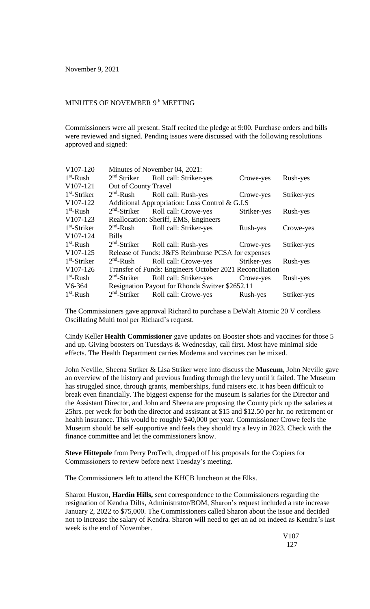## MINUTES OF NOVEMBER 9<sup>th</sup> MEETING

Commissioners were all present. Staff recited the pledge at 9:00. Purchase orders and bills were reviewed and signed. Pending issues were discussed with the following resolutions approved and signed:

| V107-120       | Minutes of November 04, 2021:                            |                                                |             |             |
|----------------|----------------------------------------------------------|------------------------------------------------|-------------|-------------|
| $1st$ -Rush    |                                                          | 2 <sup>nd</sup> Striker Roll call: Striker-yes | Crowe-yes   | Rush-yes    |
| V107-121       | Out of County Travel                                     |                                                |             |             |
| $1st$ -Striker | $2nd$ -Rush                                              | Roll call: Rush-yes                            | Crowe-yes   | Striker-yes |
| V107-122       | Additional Appropriation: Loss Control & G.I.S           |                                                |             |             |
| $1st$ -Rush    | $2nd$ -Striker                                           | Roll call: Crowe-yes                           | Striker-yes | Rush-yes    |
| V107-123       | Reallocation: Sheriff, EMS, Engineers                    |                                                |             |             |
| $1st$ -Striker | $2nd$ -Rush                                              | Roll call: Striker-yes                         | Rush-yes    | Crowe-yes   |
| V107-124       | <b>Bills</b>                                             |                                                |             |             |
| $1st$ -Rush    | $2nd$ -Striker                                           | Roll call: Rush-yes                            | Crowe-yes   | Striker-yes |
| V107-125       | Release of Funds: J&FS Reimburse PCSA for expenses       |                                                |             |             |
| $1st$ -Striker | $2nd$ -Rush                                              | Roll call: Crowe-yes                           | Striker-yes | Rush-yes    |
| V107-126       | Transfer of Funds: Engineers October 2021 Reconciliation |                                                |             |             |
| $1st$ -Rush    | $2nd$ -Striker                                           | Roll call: Striker-yes                         | Crowe-yes   | Rush-yes    |
| $V6-364$       | Resignation Payout for Rhonda Switzer \$2652.11          |                                                |             |             |
| $1st$ -Rush    | $2nd$ -Striker                                           | Roll call: Crowe-yes                           | Rush-yes    | Striker-yes |

The Commissioners gave approval Richard to purchase a DeWalt Atomic 20 V cordless Oscillating Multi tool per Richard's request.

Cindy Keller **Health Commissioner** gave updates on Booster shots and vaccines for those 5 and up. Giving boosters on Tuesdays & Wednesday, call first. Most have minimal side effects. The Health Department carries Moderna and vaccines can be mixed.

John Neville, Sheena Striker & Lisa Striker were into discuss the **Museum**, John Neville gave an overview of the history and previous funding through the levy until it failed. The Museum has struggled since, through grants, memberships, fund raisers etc. it has been difficult to break even financially. The biggest expense for the museum is salaries for the Director and the Assistant Director, and John and Sheena are proposing the County pick up the salaries at 25hrs. per week for both the director and assistant at \$15 and \$12.50 per hr. no retirement or health insurance. This would be roughly \$40,000 per year. Commissioner Crowe feels the Museum should be self -supportive and feels they should try a levy in 2023. Check with the finance committee and let the commissioners know.

**Steve Hittepole** from Perry ProTech, dropped off his proposals for the Copiers for Commissioners to review before next Tuesday's meeting.

The Commissioners left to attend the KHCB luncheon at the Elks.

Sharon Huston**, Hardin Hills,** sent correspondence to the Commissioners regarding the resignation of Kendra Dilts, Administrator/BOM, Sharon's request included a rate increase January 2, 2022 to \$75,000. The Commissioners called Sharon about the issue and decided not to increase the salary of Kendra. Sharon will need to get an ad on indeed as Kendra's last week is the end of November.

> V107 127